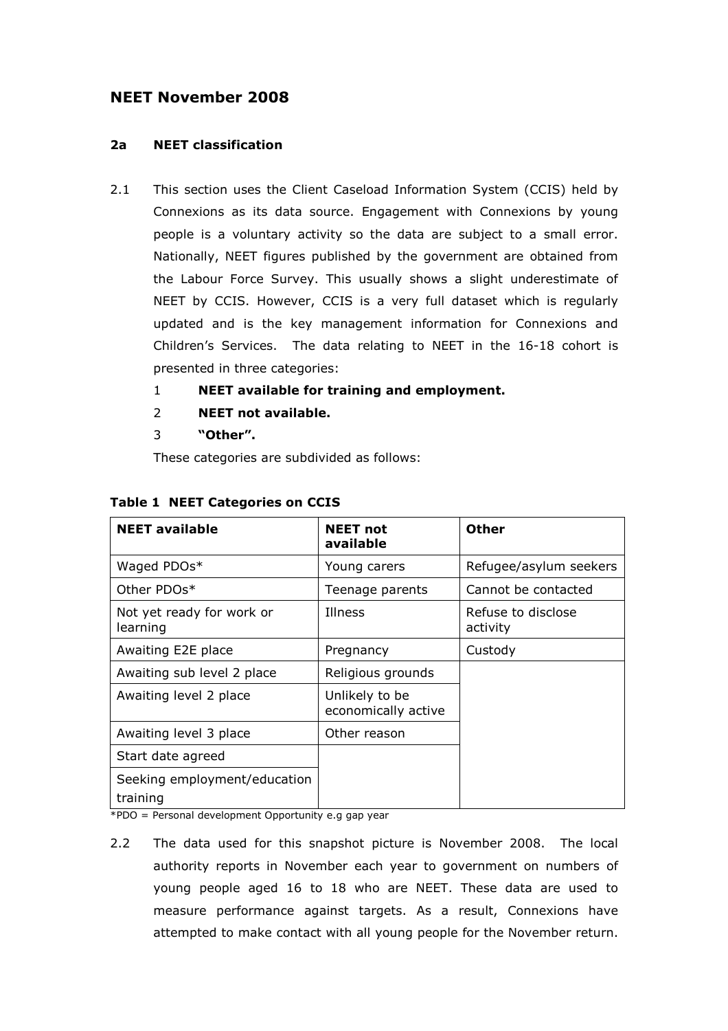# NEET November 2008

# 2a NEET classification

- 2.1 This section uses the Client Caseload Information System (CCIS) held by Connexions as its data source. Engagement with Connexions by young people is a voluntary activity so the data are subject to a small error. Nationally, NEET figures published by the government are obtained from the Labour Force Survey. This usually shows a slight underestimate of NEET by CCIS. However, CCIS is a very full dataset which is regularly updated and is the key management information for Connexions and Children's Services. The data relating to NEET in the 16-18 cohort is presented in three categories:
	- 1 NEET available for training and employment.
	- 2 NEET not available.
	- 3 "Other".

These categories are subdivided as follows:

| <b>NEET available</b>                    | <b>NEET</b> not<br>available          | <b>Other</b>                   |
|------------------------------------------|---------------------------------------|--------------------------------|
| Waged PDOs*                              | Young carers                          | Refugee/asylum seekers         |
| Other PDOs*                              | Teenage parents                       | Cannot be contacted            |
| Not yet ready for work or<br>learning    | Illness                               | Refuse to disclose<br>activity |
| Awaiting E2E place                       | Pregnancy                             | Custody                        |
| Awaiting sub level 2 place               | Religious grounds                     |                                |
| Awaiting level 2 place                   | Unlikely to be<br>economically active |                                |
| Awaiting level 3 place                   | Other reason                          |                                |
| Start date agreed                        |                                       |                                |
| Seeking employment/education<br>training |                                       |                                |

# Table 1 NEET Categories on CCIS

\*PDO = Personal development Opportunity e.g gap year

2.2 The data used for this snapshot picture is November 2008. The local authority reports in November each year to government on numbers of young people aged 16 to 18 who are NEET. These data are used to measure performance against targets. As a result, Connexions have attempted to make contact with all young people for the November return.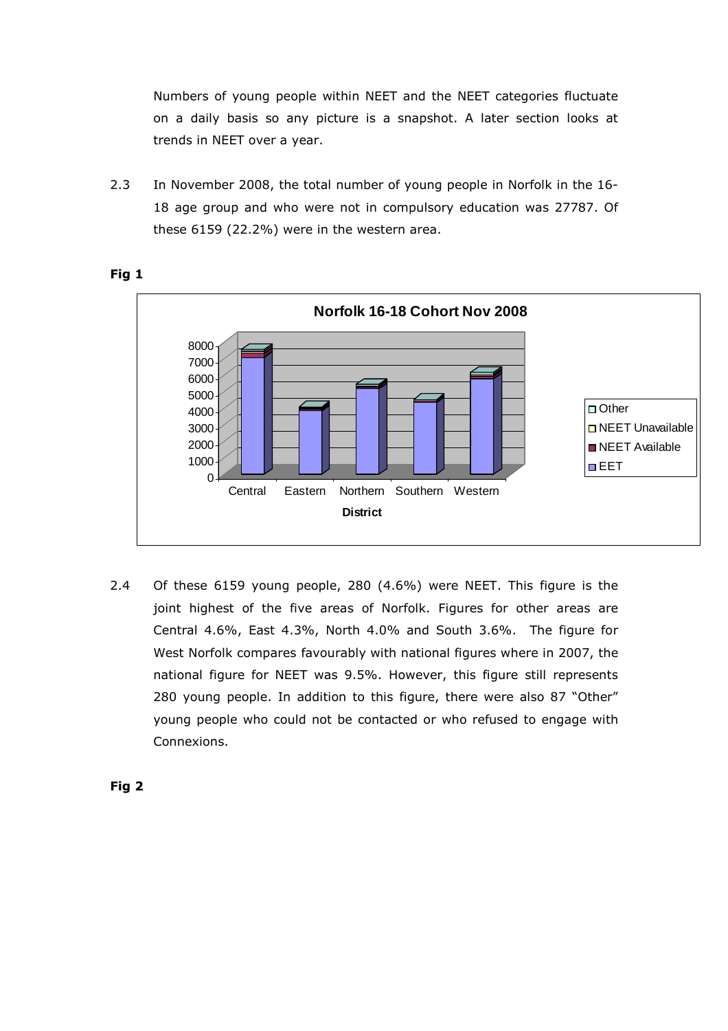Numbers of young people within NEET and the NEET categories fluctuate on a daily basis so any picture is a snapshot. A later section looks at trends in NEET over a year.

2.3 In November 2008, the total number of young people in Norfolk in the 16- 18 age group and who were not in compulsory education was 27787. Of these 6159 (22.2%) were in the western area.





2.4 Of these 6159 young people, 280 (4.6%) were NEET. This figure is the joint highest of the five areas of Norfolk. Figures for other areas are Central 4.6%, East 4.3%, North 4.0% and South 3.6%. The figure for West Norfolk compares favourably with national figures where in 2007, the national figure for NEET was 9.5%. However, this figure still represents 280 young people. In addition to this figure, there were also 87 "Other" young people who could not be contacted or who refused to engage with Connexions.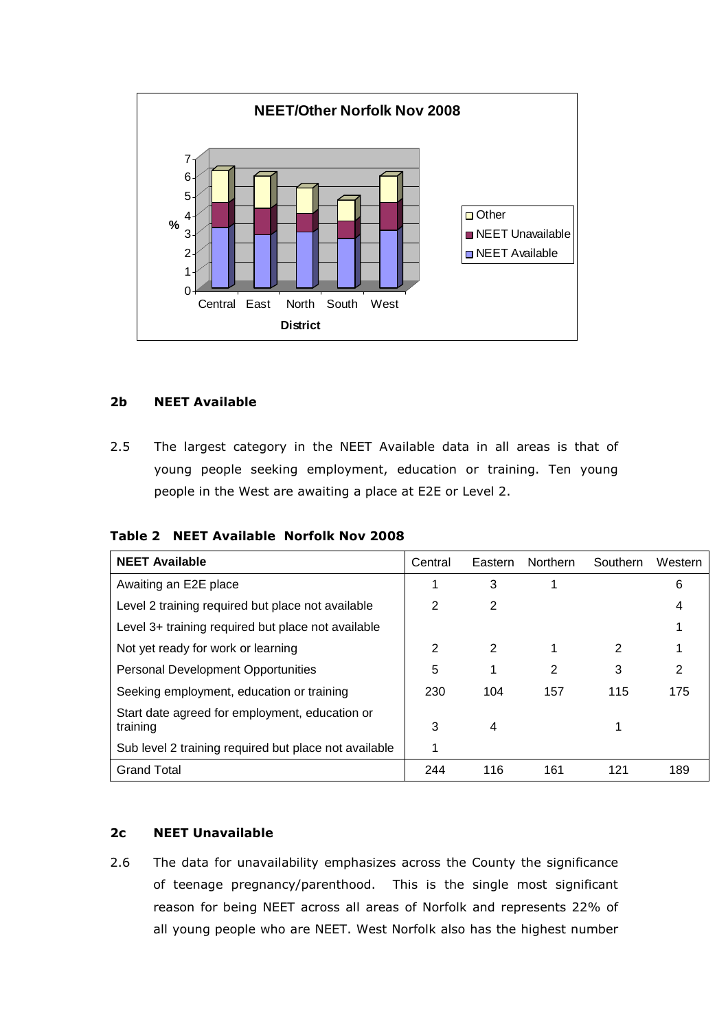

# 2b NEET Available

2.5 The largest category in the NEET Available data in all areas is that of young people seeking employment, education or training. Ten young people in the West are awaiting a place at E2E or Level 2.

|  |  | Table 2 NEET Available Norfolk Nov 2008 |  |  |  |
|--|--|-----------------------------------------|--|--|--|
|--|--|-----------------------------------------|--|--|--|

| <b>NEET Available</b>                                      | Central | Eastern | <b>Northern</b> | Southern | Western |
|------------------------------------------------------------|---------|---------|-----------------|----------|---------|
| Awaiting an E2E place                                      |         | 3       |                 |          | 6       |
| Level 2 training required but place not available          | 2       | 2       |                 |          | 4       |
| Level 3+ training required but place not available         |         |         |                 |          |         |
| Not yet ready for work or learning                         | 2       | 2       | 1               | 2        |         |
| <b>Personal Development Opportunities</b>                  | 5       | 1       | 2               | 3        | 2       |
| Seeking employment, education or training                  | 230     | 104     | 157             | 115      | 175     |
| Start date agreed for employment, education or<br>training | 3       | 4       |                 |          |         |
| Sub level 2 training required but place not available      | 1       |         |                 |          |         |
| <b>Grand Total</b>                                         | 244     | 116     | 161             | 121      | 189     |

# 2c NEET Unavailable

2.6 The data for unavailability emphasizes across the County the significance of teenage pregnancy/parenthood. This is the single most significant reason for being NEET across all areas of Norfolk and represents 22% of all young people who are NEET. West Norfolk also has the highest number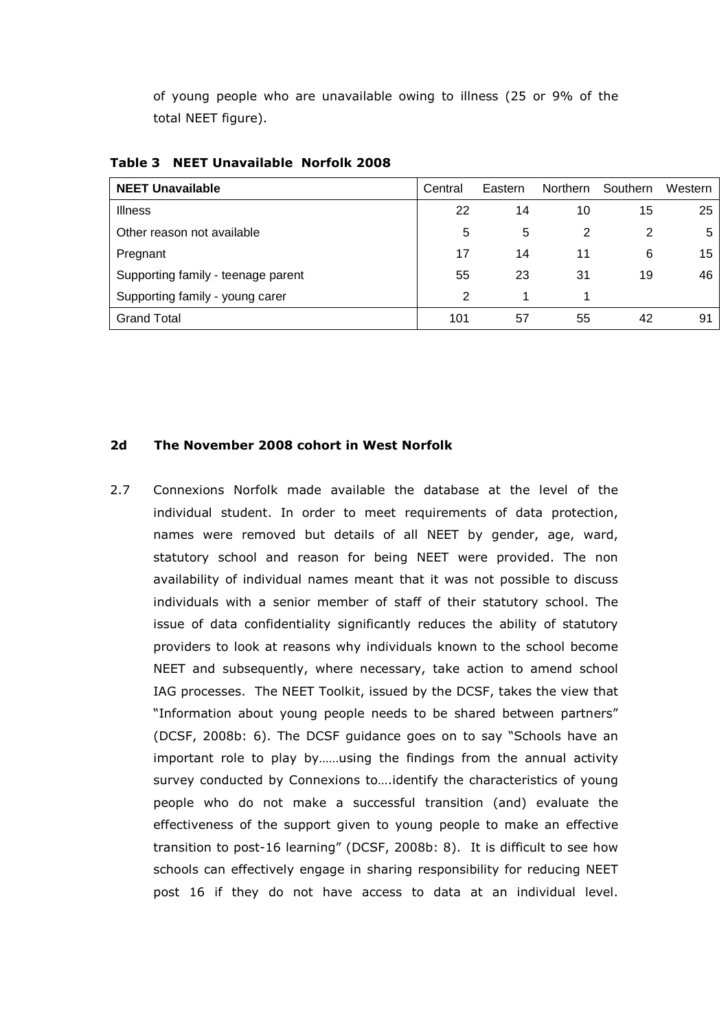of young people who are unavailable owing to illness (25 or 9% of the total NEET figure).

| <b>NEET Unavailable</b>            | Central       | Eastern | <b>Northern</b> | Southern | Western |
|------------------------------------|---------------|---------|-----------------|----------|---------|
| <b>Illness</b>                     | 22            | 14      | 10              | 15       | 25      |
| Other reason not available         | 5             | 5       | 2               | 2        | 5       |
| Pregnant                           | 17            | 14      | 11              | 6        | 15      |
| Supporting family - teenage parent | 55            | 23      | 31              | 19       | 46      |
| Supporting family - young carer    | $\mathcal{P}$ |         |                 |          |         |
| <b>Grand Total</b>                 | 101           | 57      | 55              | 42       | 91      |

Table 3 NEET Unavailable Norfolk 2008

### 2d The November 2008 cohort in West Norfolk

2.7 Connexions Norfolk made available the database at the level of the individual student. In order to meet requirements of data protection, names were removed but details of all NEET by gender, age, ward, statutory school and reason for being NEET were provided. The non availability of individual names meant that it was not possible to discuss individuals with a senior member of staff of their statutory school. The issue of data confidentiality significantly reduces the ability of statutory providers to look at reasons why individuals known to the school become NEET and subsequently, where necessary, take action to amend school IAG processes. The NEET Toolkit, issued by the DCSF, takes the view that "Information about young people needs to be shared between partners" (DCSF, 2008b: 6). The DCSF guidance goes on to say "Schools have an important role to play by……using the findings from the annual activity survey conducted by Connexions to….identify the characteristics of young people who do not make a successful transition (and) evaluate the effectiveness of the support given to young people to make an effective transition to post-16 learning" (DCSF, 2008b: 8). It is difficult to see how schools can effectively engage in sharing responsibility for reducing NEET post 16 if they do not have access to data at an individual level.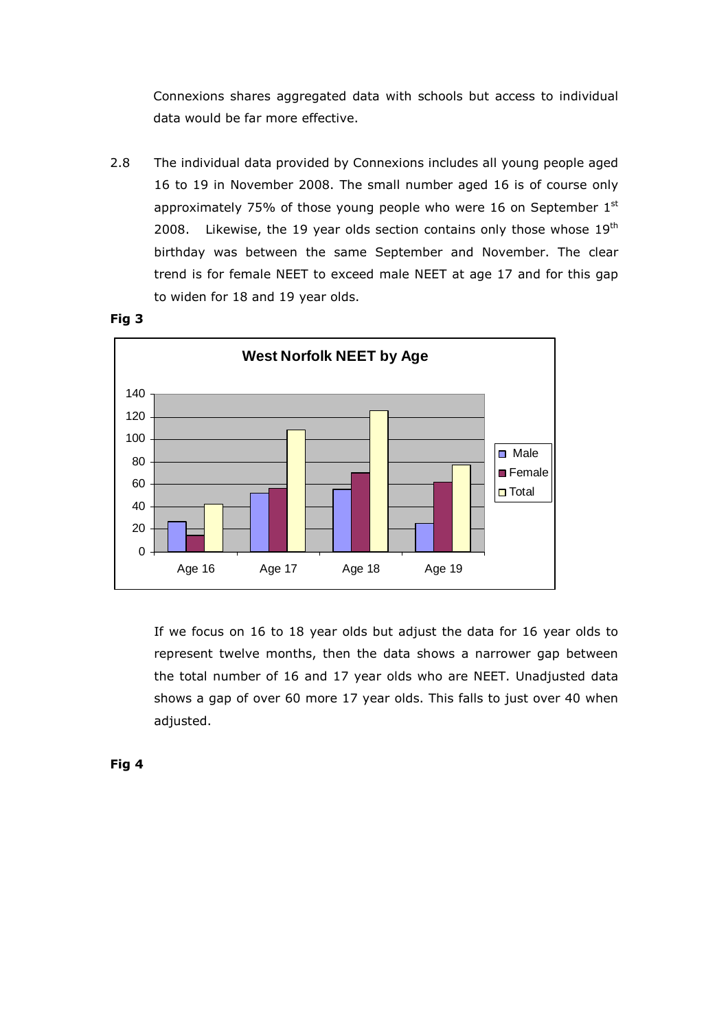Connexions shares aggregated data with schools but access to individual data would be far more effective.

2.8 The individual data provided by Connexions includes all young people aged 16 to 19 in November 2008. The small number aged 16 is of course only approximately 75% of those young people who were 16 on September  $1<sup>st</sup>$ 2008. Likewise, the 19 year olds section contains only those whose  $19<sup>th</sup>$ birthday was between the same September and November. The clear trend is for female NEET to exceed male NEET at age 17 and for this gap to widen for 18 and 19 year olds.



Fig 3

If we focus on 16 to 18 year olds but adjust the data for 16 year olds to represent twelve months, then the data shows a narrower gap between the total number of 16 and 17 year olds who are NEET. Unadjusted data shows a gap of over 60 more 17 year olds. This falls to just over 40 when adjusted.

Fig 4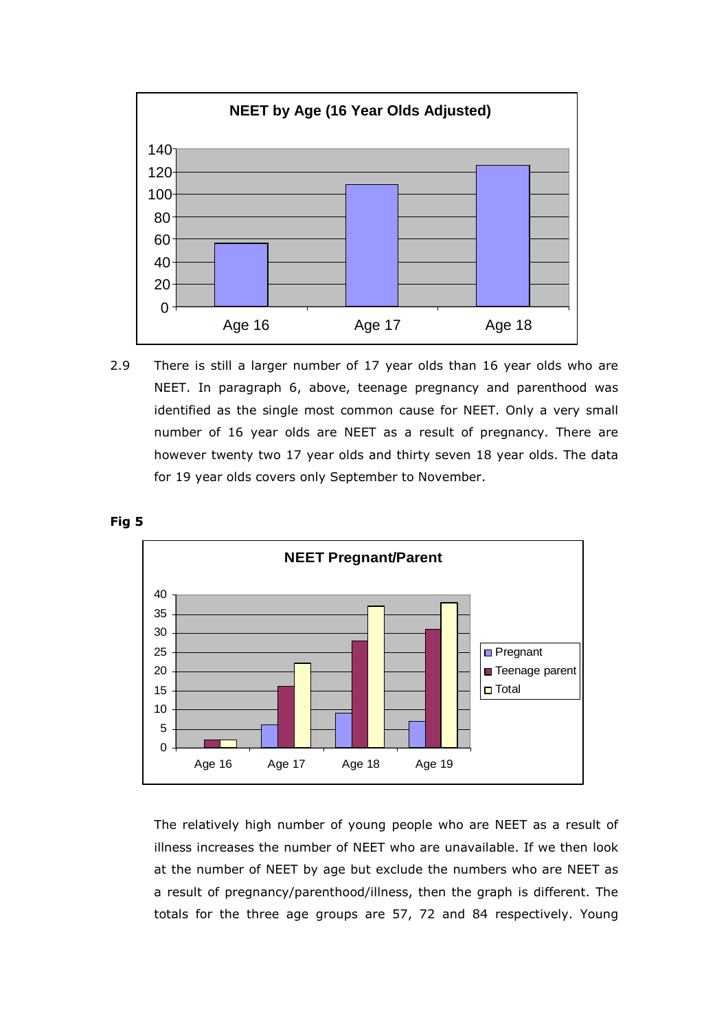

2.9 There is still a larger number of 17 year olds than 16 year olds who are NEET. In paragraph 6, above, teenage pregnancy and parenthood was identified as the single most common cause for NEET. Only a very small number of 16 year olds are NEET as a result of pregnancy. There are however twenty two 17 year olds and thirty seven 18 year olds. The data for 19 year olds covers only September to November.





 The relatively high number of young people who are NEET as a result of illness increases the number of NEET who are unavailable. If we then look at the number of NEET by age but exclude the numbers who are NEET as a result of pregnancy/parenthood/illness, then the graph is different. The totals for the three age groups are 57, 72 and 84 respectively. Young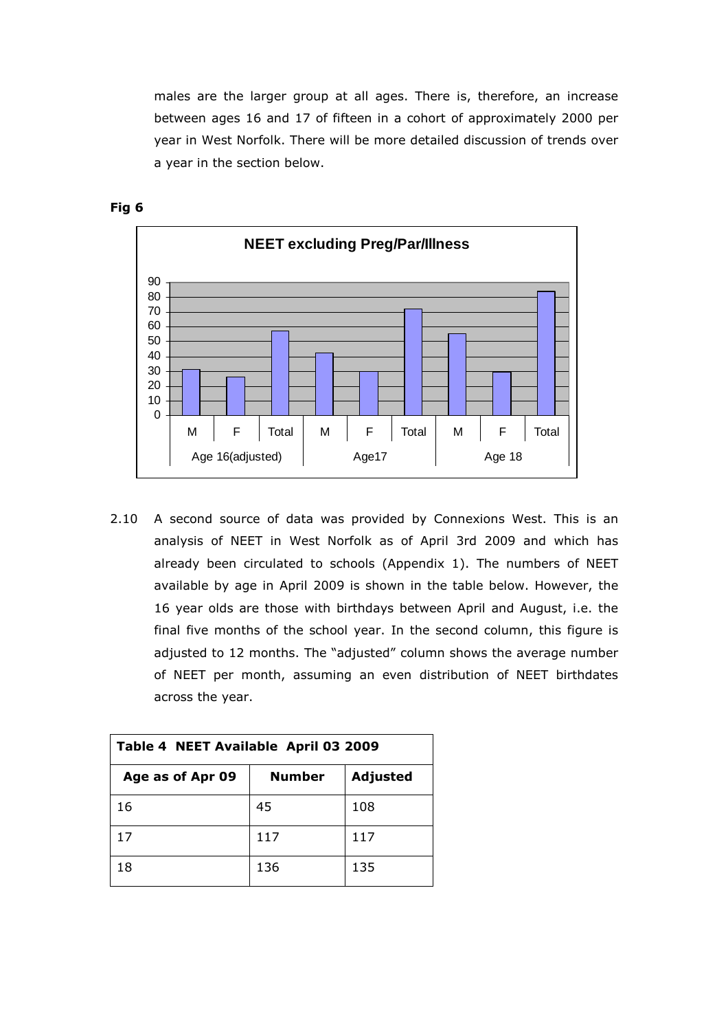males are the larger group at all ages. There is, therefore, an increase between ages 16 and 17 of fifteen in a cohort of approximately 2000 per year in West Norfolk. There will be more detailed discussion of trends over a year in the section below.



Fig 6

2.10 A second source of data was provided by Connexions West. This is an analysis of NEET in West Norfolk as of April 3rd 2009 and which has already been circulated to schools (Appendix 1). The numbers of NEET available by age in April 2009 is shown in the table below. However, the 16 year olds are those with birthdays between April and August, i.e. the final five months of the school year. In the second column, this figure is adjusted to 12 months. The "adjusted" column shows the average number of NEET per month, assuming an even distribution of NEET birthdates across the year.

| Table 4 NEET Available April 03 2009 |               |          |  |  |  |  |  |
|--------------------------------------|---------------|----------|--|--|--|--|--|
| Age as of Apr 09                     | <b>Number</b> | Adjusted |  |  |  |  |  |
| 16                                   | 45            | 108      |  |  |  |  |  |
| 17                                   | 117           | 117      |  |  |  |  |  |
| 18                                   | 136           | 135      |  |  |  |  |  |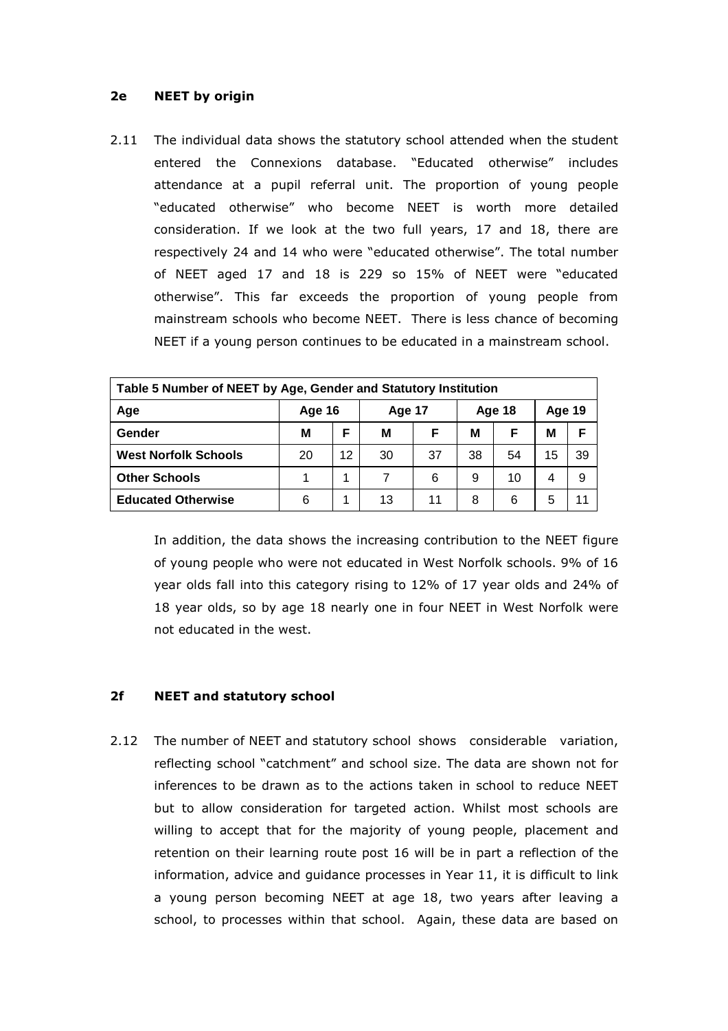### 2e NEET by origin

2.11 The individual data shows the statutory school attended when the student entered the Connexions database. "Educated otherwise" includes attendance at a pupil referral unit. The proportion of young people "educated otherwise" who become NEET is worth more detailed consideration. If we look at the two full years, 17 and 18, there are respectively 24 and 14 who were "educated otherwise". The total number of NEET aged 17 and 18 is 229 so 15% of NEET were "educated otherwise". This far exceeds the proportion of young people from mainstream schools who become NEET. There is less chance of becoming NEET if a young person continues to be educated in a mainstream school.

| Table 5 Number of NEET by Age, Gender and Statutory Institution |        |    |               |    |        |    |               |    |
|-----------------------------------------------------------------|--------|----|---------------|----|--------|----|---------------|----|
| Age                                                             | Age 16 |    | <b>Age 17</b> |    | Age 18 |    | <b>Age 19</b> |    |
| Gender                                                          | М      | F  | м             | F  | М      | F  | M             | F  |
| <b>West Norfolk Schools</b>                                     | 20     | 12 | 30            | 37 | 38     | 54 | 15            | 39 |
| <b>Other Schools</b>                                            |        | 1  | 7             | 6  | 9      | 10 | 4             | 9  |
| <b>Educated Otherwise</b>                                       | 6      |    | 13            | 11 | 8      | 6  | 5             | 11 |

In addition, the data shows the increasing contribution to the NEET figure of young people who were not educated in West Norfolk schools. 9% of 16 year olds fall into this category rising to 12% of 17 year olds and 24% of 18 year olds, so by age 18 nearly one in four NEET in West Norfolk were not educated in the west.

# 2f NEET and statutory school

2.12 The number of NEET and statutory school shows considerable variation, reflecting school "catchment" and school size. The data are shown not for inferences to be drawn as to the actions taken in school to reduce NEET but to allow consideration for targeted action. Whilst most schools are willing to accept that for the majority of young people, placement and retention on their learning route post 16 will be in part a reflection of the information, advice and guidance processes in Year 11, it is difficult to link a young person becoming NEET at age 18, two years after leaving a school, to processes within that school. Again, these data are based on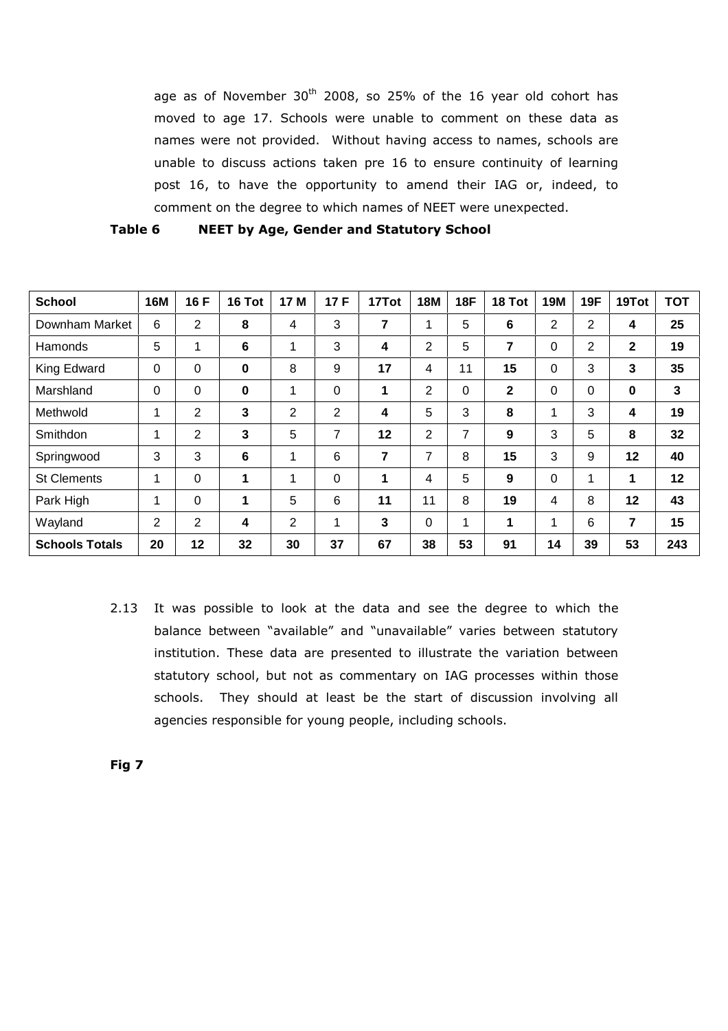age as of November  $30<sup>th</sup>$  2008, so 25% of the 16 year old cohort has moved to age 17. Schools were unable to comment on these data as names were not provided. Without having access to names, schools are unable to discuss actions taken pre 16 to ensure continuity of learning post 16, to have the opportunity to amend their IAG or, indeed, to comment on the degree to which names of NEET were unexpected.

| Table 6 |  |  |  |  | <b>NEET by Age, Gender and Statutory School</b> |  |
|---------|--|--|--|--|-------------------------------------------------|--|
|---------|--|--|--|--|-------------------------------------------------|--|

| <b>School</b>         | <b>16M</b>     | 16 F           | 16 Tot   | 17 M           | 17F      | 17Tot | <b>18M</b>     | <b>18F</b> | 18 Tot          | <b>19M</b> | <b>19F</b> | 19Tot        | <b>TOT</b> |
|-----------------------|----------------|----------------|----------|----------------|----------|-------|----------------|------------|-----------------|------------|------------|--------------|------------|
| Downham Market        | 6              | 2              | 8        | 4              | 3        | 7     | 1              | 5          | $6\phantom{1}6$ | 2          | 2          | 4            | 25         |
| Hamonds               | 5              |                | 6        | 1              | 3        | 4     | $\overline{2}$ | 5          | 7               | 0          | 2          | $\mathbf{2}$ | 19         |
| King Edward           | 0              | 0              | $\bf{0}$ | 8              | 9        | 17    | 4              | 11         | 15              | 0          | 3          | 3            | 35         |
| Marshland             | 0              | 0              | $\bf{0}$ | 1              | 0        | 1     | 2              | 0          | $\mathbf{2}$    | 0          | 0          | 0            | 3          |
| Methwold              |                | $\overline{2}$ | 3        | $\overline{2}$ | 2        | 4     | 5              | 3          | 8               | 1          | 3          | 4            | 19         |
| Smithdon              |                | 2              | 3        | 5              | 7        | 12    | 2              | 7          | 9               | 3          | 5          | 8            | 32         |
| Springwood            | 3              | 3              | 6        | 1              | 6        | 7     | 7              | 8          | 15              | 3          | 9          | 12           | 40         |
| <b>St Clements</b>    | 1              | $\Omega$       | 1        | 1              | $\Omega$ | 1     | 4              | 5          | 9               | $\Omega$   | 1          | $\mathbf 1$  | 12         |
| Park High             | 1              | $\Omega$       | 1        | 5              | 6        | 11    | 11             | 8          | 19              | 4          | 8          | 12           | 43         |
| Wayland               | $\overline{2}$ | $\overline{2}$ | 4        | 2              | 1        | 3     | 0              | 1          | 1               | 1          | 6          | 7            | 15         |
| <b>Schools Totals</b> | 20             | 12             | 32       | 30             | 37       | 67    | 38             | 53         | 91              | 14         | 39         | 53           | 243        |

2.13 It was possible to look at the data and see the degree to which the balance between "available" and "unavailable" varies between statutory institution. These data are presented to illustrate the variation between statutory school, but not as commentary on IAG processes within those schools. They should at least be the start of discussion involving all agencies responsible for young people, including schools.

Fig 7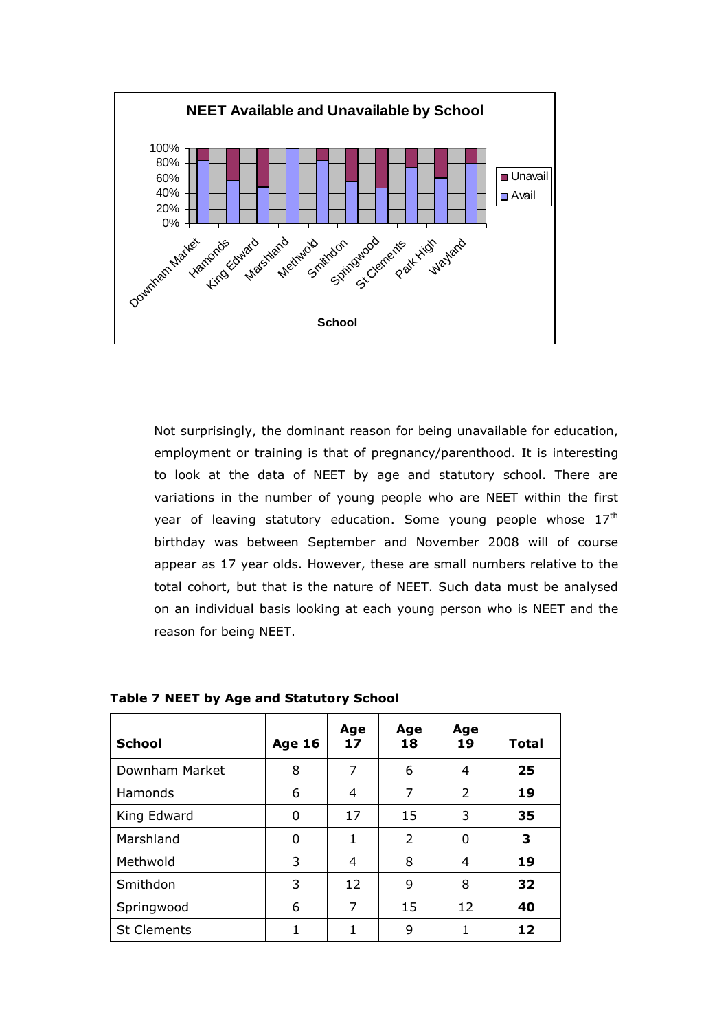

Not surprisingly, the dominant reason for being unavailable for education, employment or training is that of pregnancy/parenthood. It is interesting to look at the data of NEET by age and statutory school. There are variations in the number of young people who are NEET within the first year of leaving statutory education. Some young people whose  $17<sup>th</sup>$ birthday was between September and November 2008 will of course appear as 17 year olds. However, these are small numbers relative to the total cohort, but that is the nature of NEET. Such data must be analysed on an individual basis looking at each young person who is NEET and the reason for being NEET.

| <b>School</b>      | <b>Age 16</b> | Age<br>17 | Age<br>18 | Age<br>19     | <b>Total</b> |
|--------------------|---------------|-----------|-----------|---------------|--------------|
| Downham Market     | 8             | 7         | 6         | 4             | 25           |
| Hamonds            | 6             | 4         | 7         | $\mathcal{P}$ | 19           |
| King Edward        | 0             | 17        | 15        | 3             | 35           |
| Marshland          | 0             | 1         | 2         | 0             | 3            |
| Methwold           | 3             | 4         | 8         | 4             | 19           |
| Smithdon           | 3             | 12        | 9         | 8             | 32           |
| Springwood         | 6             | 7         | 15        | 12            | 40           |
| <b>St Clements</b> |               | 1         | 9         | 1             | 12           |

Table 7 NEET by Age and Statutory School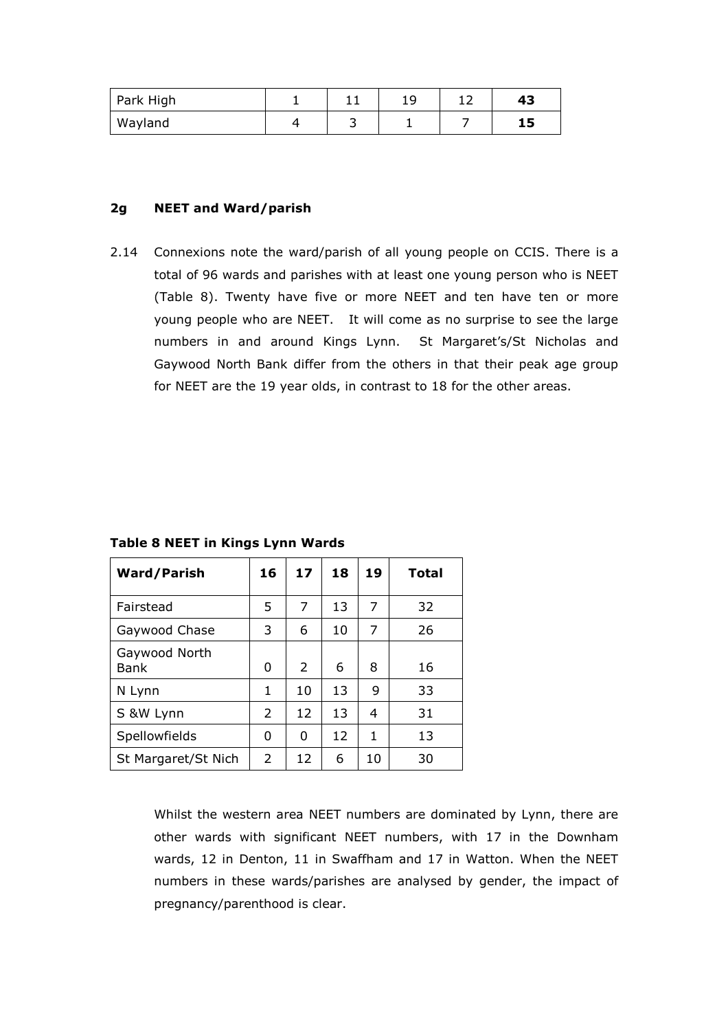| Park High |  | <u>_ </u> | 43 |
|-----------|--|-----------|----|
| Wayland   |  |           | 15 |

### 2g NEET and Ward/parish

2.14 Connexions note the ward/parish of all young people on CCIS. There is a total of 96 wards and parishes with at least one young person who is NEET (Table 8). Twenty have five or more NEET and ten have ten or more young people who are NEET. It will come as no surprise to see the large numbers in and around Kings Lynn. St Margaret's/St Nicholas and Gaywood North Bank differ from the others in that their peak age group for NEET are the 19 year olds, in contrast to 18 for the other areas.

Ward/Parish  $\vert$  16 | 17 | 18 | 19 | Total Fairstead 5 7 13 7 32 Gaywood Chase 3 6 10 7 26 Gaywood North Bank 0 2 6 8 16 N Lynn  $\begin{array}{|c|c|c|c|c|c|c|c|} \hline 1 & 10 & 13 & 9 & 33 \ \hline \end{array}$ S &W Lynn 2 12 13 4 31 Spellowfields 0 0 12 1 13 St Margaret/St Nich  $\begin{array}{|c|c|c|c|c|c|c|c|} \hline \end{array}$  6 | 10 | 30

Table 8 NEET in Kings Lynn Wards

Whilst the western area NEET numbers are dominated by Lynn, there are other wards with significant NEET numbers, with 17 in the Downham wards, 12 in Denton, 11 in Swaffham and 17 in Watton. When the NEET numbers in these wards/parishes are analysed by gender, the impact of pregnancy/parenthood is clear.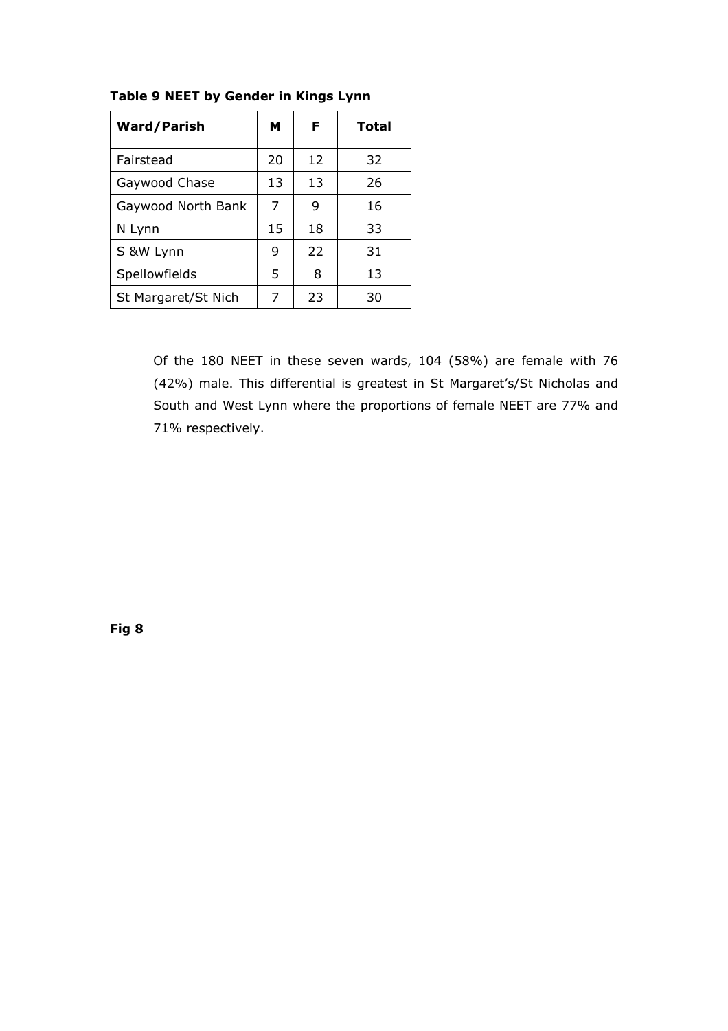| <b>Ward/Parish</b>  | м  | F  | <b>Total</b> |
|---------------------|----|----|--------------|
| Fairstead           | 20 | 12 | 32           |
| Gaywood Chase       | 13 | 13 | 26           |
| Gaywood North Bank  | 7  | 9  | 16           |
| N Lynn              | 15 | 18 | 33           |
| S &W Lynn           | 9  | 22 | 31           |
| Spellowfields       | 5  | 8  | 13           |
| St Margaret/St Nich | 7  | 23 | 30           |

# Table 9 NEET by Gender in Kings Lynn

Of the 180 NEET in these seven wards, 104 (58%) are female with 76 (42%) male. This differential is greatest in St Margaret's/St Nicholas and South and West Lynn where the proportions of female NEET are 77% and 71% respectively.

Fig 8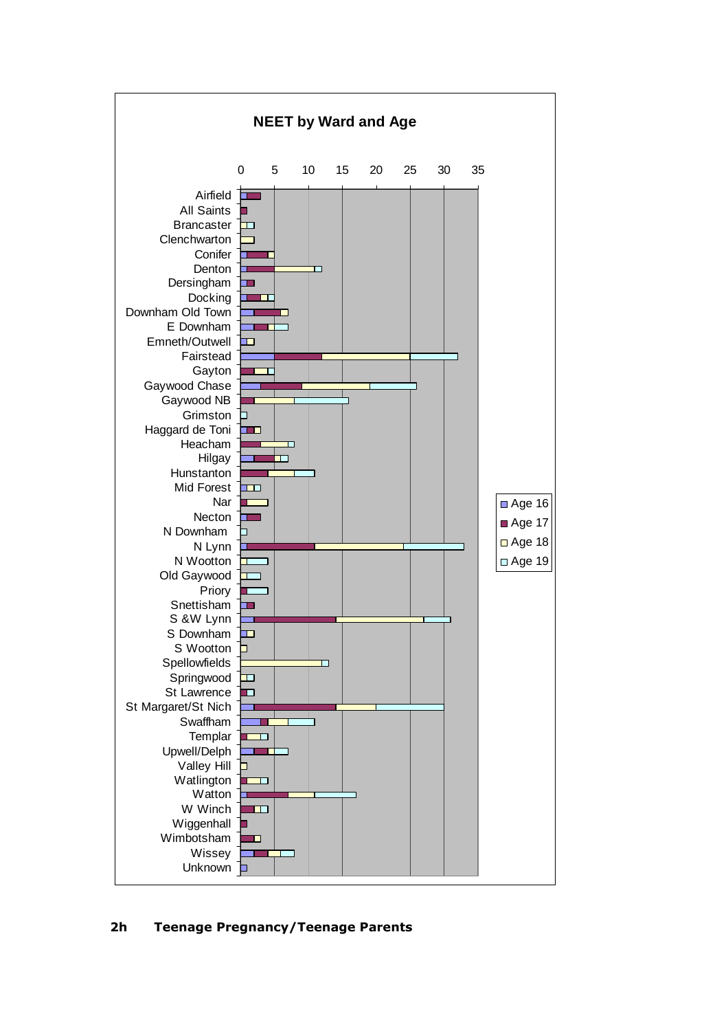

# 2h Teenage Pregnancy/Teenage Parents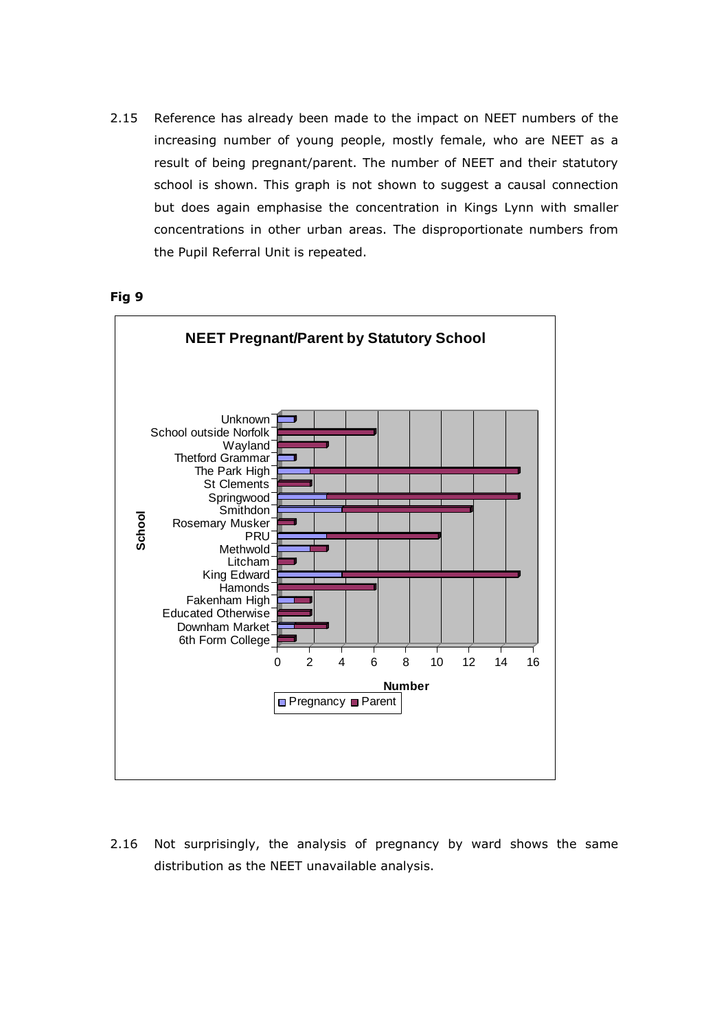2.15 Reference has already been made to the impact on NEET numbers of the increasing number of young people, mostly female, who are NEET as a result of being pregnant/parent. The number of NEET and their statutory school is shown. This graph is not shown to suggest a causal connection but does again emphasise the concentration in Kings Lynn with smaller concentrations in other urban areas. The disproportionate numbers from the Pupil Referral Unit is repeated.

Fig 9



2.16 Not surprisingly, the analysis of pregnancy by ward shows the same distribution as the NEET unavailable analysis.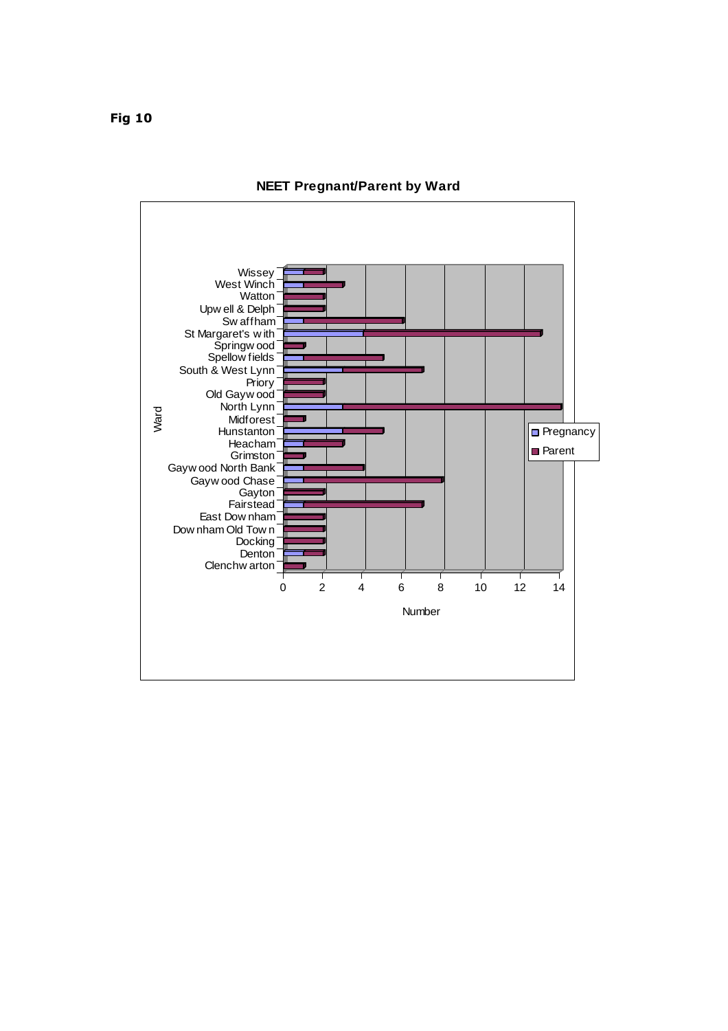

### **NEET Pregnant/Parent by Ward**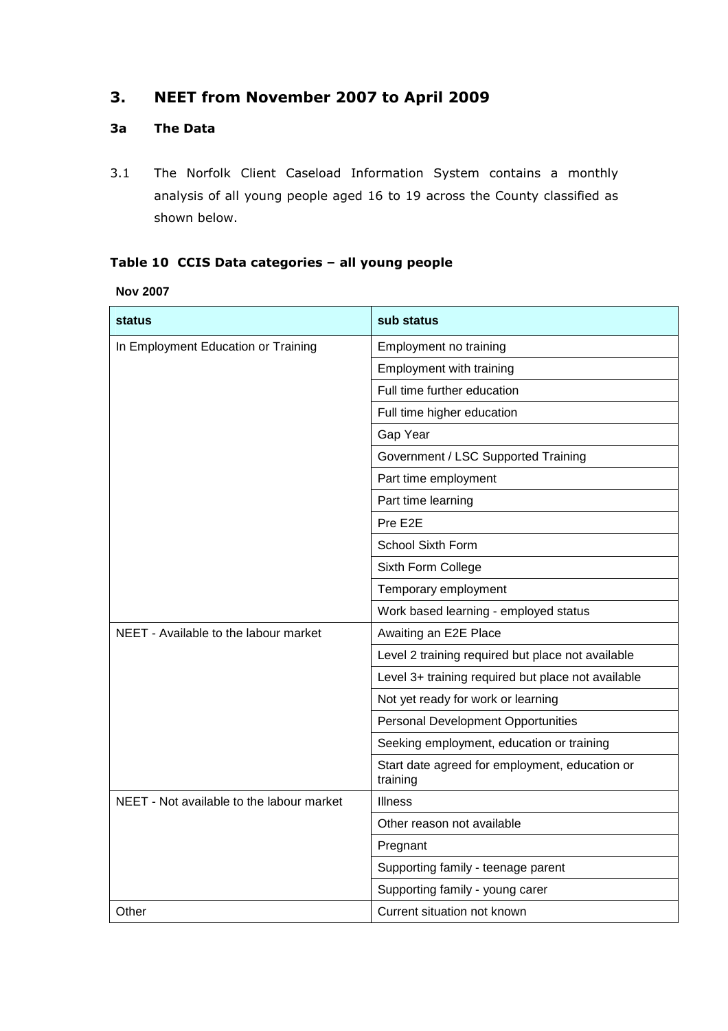# 3. NEET from November 2007 to April 2009

# 3a The Data

3.1 The Norfolk Client Caseload Information System contains a monthly analysis of all young people aged 16 to 19 across the County classified as shown below.

# Table 10 CCIS Data categories – all young people

**Nov 2007** 

| <b>status</b>                             | sub status                                                 |  |  |  |  |
|-------------------------------------------|------------------------------------------------------------|--|--|--|--|
| In Employment Education or Training       | Employment no training                                     |  |  |  |  |
|                                           | Employment with training                                   |  |  |  |  |
|                                           | Full time further education                                |  |  |  |  |
|                                           | Full time higher education                                 |  |  |  |  |
|                                           | Gap Year                                                   |  |  |  |  |
|                                           | Government / LSC Supported Training                        |  |  |  |  |
|                                           | Part time employment                                       |  |  |  |  |
|                                           | Part time learning                                         |  |  |  |  |
|                                           | Pre E2E                                                    |  |  |  |  |
|                                           | School Sixth Form                                          |  |  |  |  |
|                                           | Sixth Form College                                         |  |  |  |  |
|                                           | Temporary employment                                       |  |  |  |  |
|                                           | Work based learning - employed status                      |  |  |  |  |
| NEET - Available to the labour market     | Awaiting an E2E Place                                      |  |  |  |  |
|                                           | Level 2 training required but place not available          |  |  |  |  |
|                                           | Level 3+ training required but place not available         |  |  |  |  |
|                                           | Not yet ready for work or learning                         |  |  |  |  |
|                                           | <b>Personal Development Opportunities</b>                  |  |  |  |  |
|                                           | Seeking employment, education or training                  |  |  |  |  |
|                                           | Start date agreed for employment, education or<br>training |  |  |  |  |
| NEET - Not available to the labour market | <b>Illness</b>                                             |  |  |  |  |
|                                           | Other reason not available                                 |  |  |  |  |
|                                           | Pregnant                                                   |  |  |  |  |
|                                           | Supporting family - teenage parent                         |  |  |  |  |
|                                           | Supporting family - young carer                            |  |  |  |  |
| Other                                     | Current situation not known                                |  |  |  |  |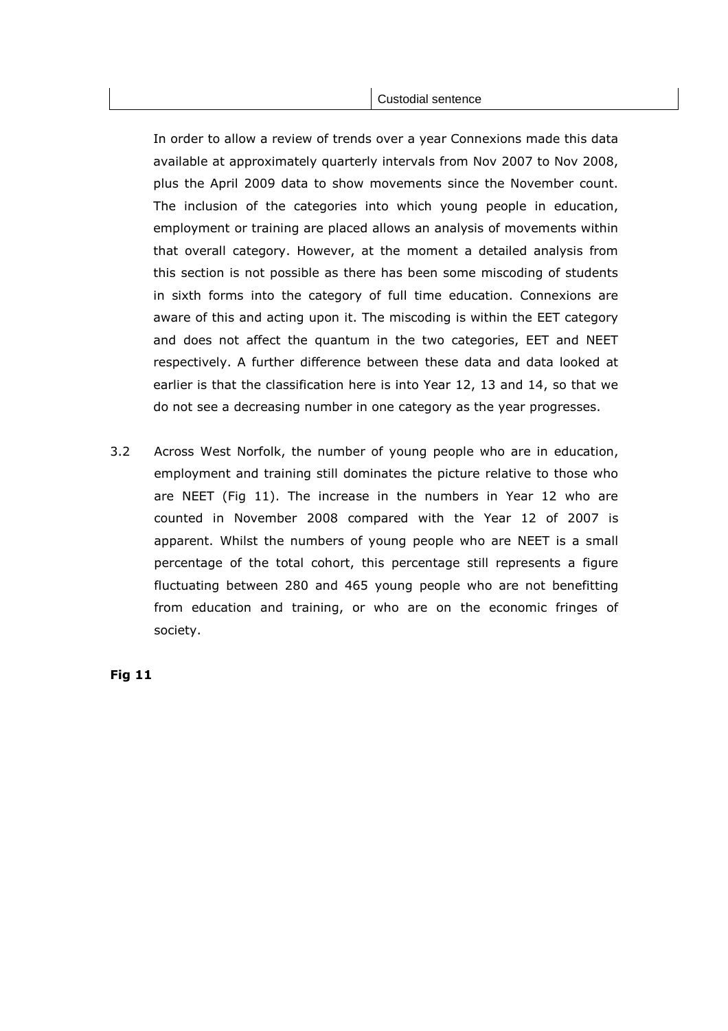In order to allow a review of trends over a year Connexions made this data available at approximately quarterly intervals from Nov 2007 to Nov 2008, plus the April 2009 data to show movements since the November count. The inclusion of the categories into which young people in education, employment or training are placed allows an analysis of movements within that overall category. However, at the moment a detailed analysis from this section is not possible as there has been some miscoding of students in sixth forms into the category of full time education. Connexions are aware of this and acting upon it. The miscoding is within the EET category and does not affect the quantum in the two categories, EET and NEET respectively. A further difference between these data and data looked at earlier is that the classification here is into Year 12, 13 and 14, so that we do not see a decreasing number in one category as the year progresses.

3.2 Across West Norfolk, the number of young people who are in education, employment and training still dominates the picture relative to those who are NEET (Fig 11). The increase in the numbers in Year 12 who are counted in November 2008 compared with the Year 12 of 2007 is apparent. Whilst the numbers of young people who are NEET is a small percentage of the total cohort, this percentage still represents a figure fluctuating between 280 and 465 young people who are not benefitting from education and training, or who are on the economic fringes of society.

Fig 11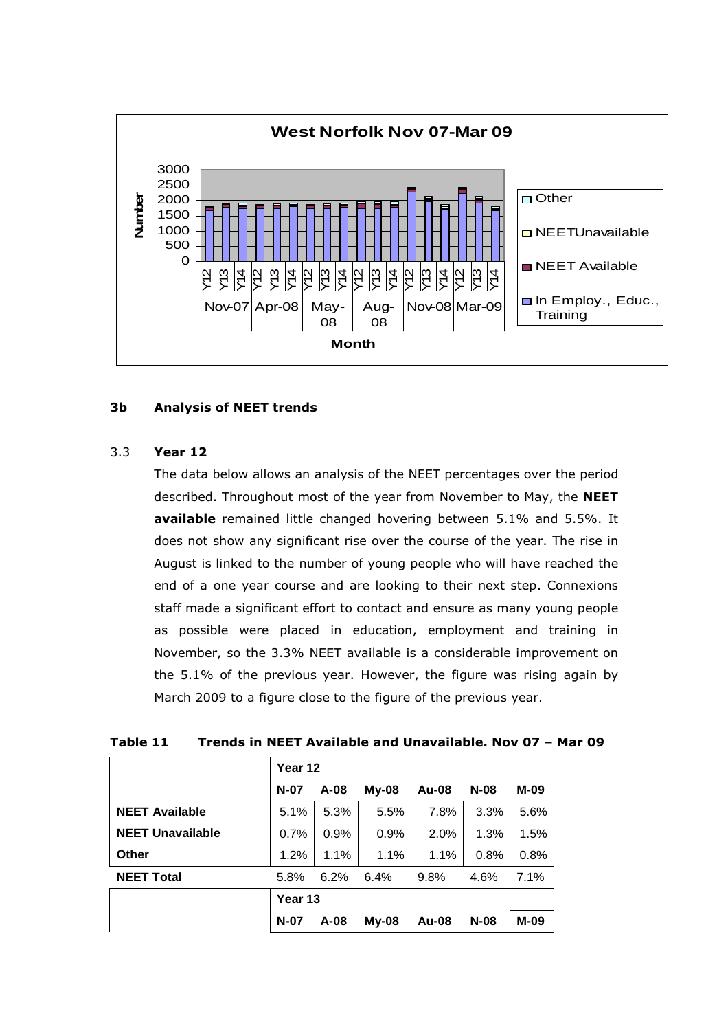

### 3b Analysis of NEET trends

# 3.3 Year 12

The data below allows an analysis of the NEET percentages over the period described. Throughout most of the year from November to May, the NEET available remained little changed hovering between 5.1% and 5.5%. It does not show any significant rise over the course of the year. The rise in August is linked to the number of young people who will have reached the end of a one year course and are looking to their next step. Connexions staff made a significant effort to contact and ensure as many young people as possible were placed in education, employment and training in November, so the 3.3% NEET available is a considerable improvement on the 5.1% of the previous year. However, the figure was rising again by March 2009 to a figure close to the figure of the previous year.

| Table 11 | Trends in NEET Available and Unavailable. Nov 07 - Mar 09 |  |  |  |  |
|----------|-----------------------------------------------------------|--|--|--|--|
|----------|-----------------------------------------------------------|--|--|--|--|

|                         | Year 12 |        |              |              |        |      |  |  |
|-------------------------|---------|--------|--------------|--------------|--------|------|--|--|
|                         | $N-07$  | $A-08$ | $My-08$      | <b>Au-08</b> | $N-08$ | M-09 |  |  |
| <b>NEET Available</b>   | 5.1%    | 5.3%   | 5.5%         | 7.8%         | 3.3%   | 5.6% |  |  |
| <b>NEET Unavailable</b> | 0.7%    | 0.9%   | 0.9%         | 2.0%         | 1.3%   | 1.5% |  |  |
| <b>Other</b>            | 1.2%    | 1.1%   | 1.1%         | 1.1%         | 0.8%   | 0.8% |  |  |
| <b>NEET Total</b>       | 5.8%    | 6.2%   | 6.4%         | 9.8%         | 4.6%   | 7.1% |  |  |
|                         | Year 13 |        |              |              |        |      |  |  |
|                         | $N-07$  | $A-08$ | <b>My-08</b> | <b>Au-08</b> | $N-08$ | M-09 |  |  |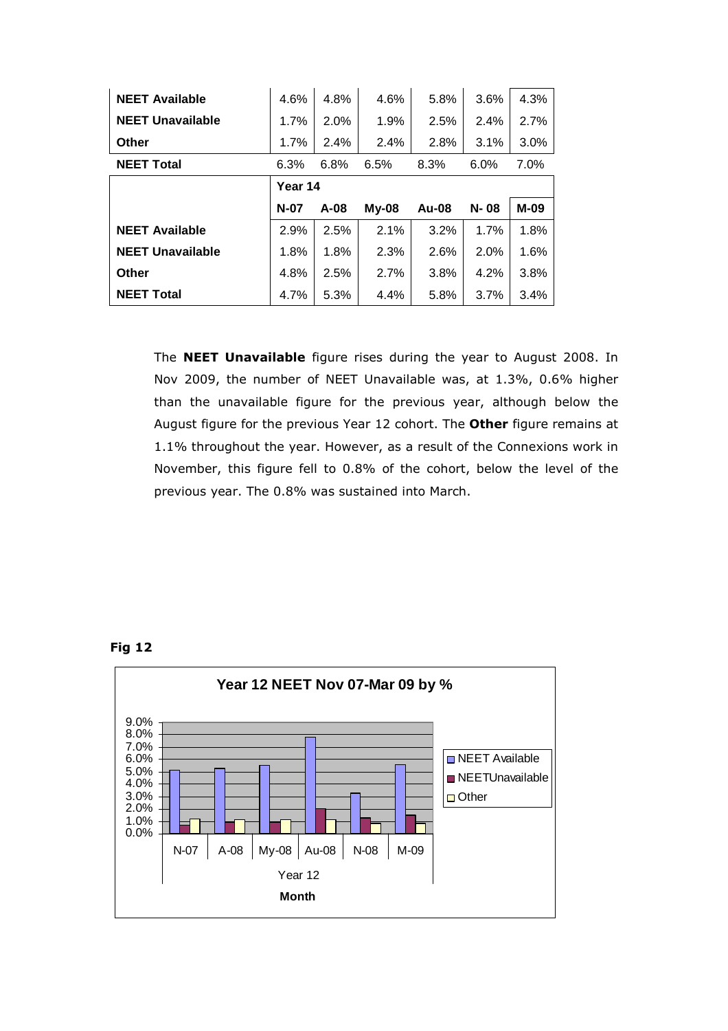| <b>NEET Available</b>   | 4.6%    | 4.8%   | 4.6%    | 5.8%         | 3.6% | 4.3% |  |  |  |
|-------------------------|---------|--------|---------|--------------|------|------|--|--|--|
| <b>NEET Unavailable</b> | 1.7%    | 2.0%   | 1.9%    | 2.5%         | 2.4% | 2.7% |  |  |  |
| <b>Other</b>            | $1.7\%$ | 2.4%   | 2.4%    | 2.8%         | 3.1% | 3.0% |  |  |  |
| <b>NEET Total</b>       | 6.3%    | 6.8%   | 6.5%    | 8.3%         | 6.0% | 7.0% |  |  |  |
|                         | Year 14 |        |         |              |      |      |  |  |  |
|                         |         |        |         |              |      |      |  |  |  |
|                         | $N-07$  | $A-08$ | $My-08$ | <b>Au-08</b> | N-08 | M-09 |  |  |  |
| <b>NEET Available</b>   | 2.9%    | 2.5%   | 2.1%    | 3.2%         | 1.7% | 1.8% |  |  |  |
| <b>NEET Unavailable</b> | 1.8%    | 1.8%   | 2.3%    | 2.6%         | 2.0% | 1.6% |  |  |  |
| Other                   | 4.8%    | 2.5%   | 2.7%    | 3.8%         | 4.2% | 3.8% |  |  |  |

The **NEET Unavailable** figure rises during the year to August 2008. In Nov 2009, the number of NEET Unavailable was, at 1.3%, 0.6% higher than the unavailable figure for the previous year, although below the August figure for the previous Year 12 cohort. The Other figure remains at 1.1% throughout the year. However, as a result of the Connexions work in November, this figure fell to 0.8% of the cohort, below the level of the previous year. The 0.8% was sustained into March.



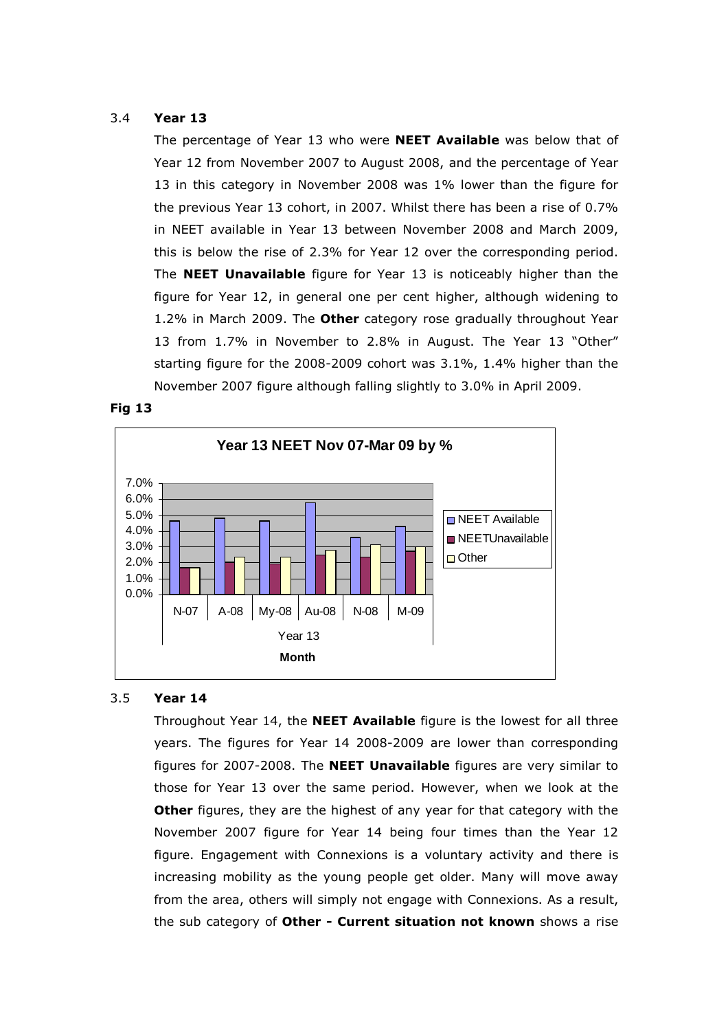### 3.4 Year 13

The percentage of Year 13 who were **NEET Available** was below that of Year 12 from November 2007 to August 2008, and the percentage of Year 13 in this category in November 2008 was 1% lower than the figure for the previous Year 13 cohort, in 2007. Whilst there has been a rise of 0.7% in NEET available in Year 13 between November 2008 and March 2009, this is below the rise of 2.3% for Year 12 over the corresponding period. The NEET Unavailable figure for Year 13 is noticeably higher than the figure for Year 12, in general one per cent higher, although widening to 1.2% in March 2009. The Other category rose gradually throughout Year 13 from 1.7% in November to 2.8% in August. The Year 13 "Other" starting figure for the 2008-2009 cohort was 3.1%, 1.4% higher than the November 2007 figure although falling slightly to 3.0% in April 2009.





### 3.5 Year 14

Throughout Year 14, the **NEET Available** figure is the lowest for all three years. The figures for Year 14 2008-2009 are lower than corresponding figures for 2007-2008. The NEET Unavailable figures are very similar to those for Year 13 over the same period. However, when we look at the Other figures, they are the highest of any year for that category with the November 2007 figure for Year 14 being four times than the Year 12 figure. Engagement with Connexions is a voluntary activity and there is increasing mobility as the young people get older. Many will move away from the area, others will simply not engage with Connexions. As a result, the sub category of Other - Current situation not known shows a rise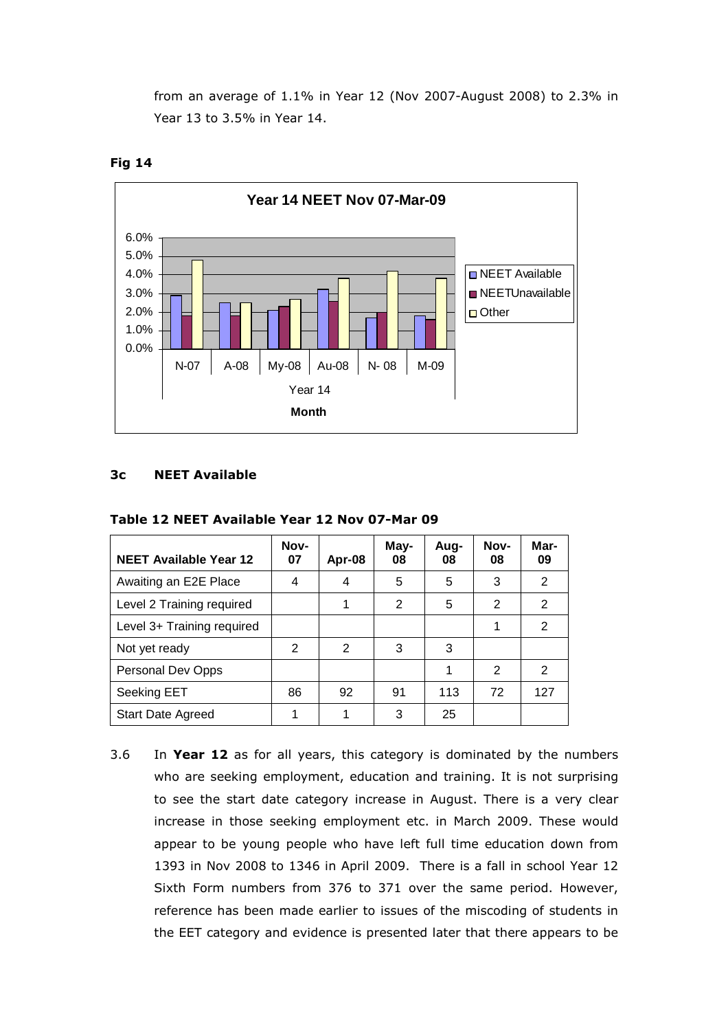from an average of 1.1% in Year 12 (Nov 2007-August 2008) to 2.3% in Year 13 to 3.5% in Year 14.





### 3c NEET Available

| <b>NEET Available Year 12</b> | Nov-<br>07 | Apr-08 | May-<br>08 | Aug-<br>08 | Nov-<br>08 | Mar-<br>09 |
|-------------------------------|------------|--------|------------|------------|------------|------------|
| Awaiting an E2E Place         | 4          | 4      | 5          | 5          | 3          | 2          |
| Level 2 Training required     |            | 1      | 2          | 5          | 2          | 2          |
| Level 3+ Training required    |            |        |            |            | 1          | 2          |
| Not yet ready                 | 2          | 2      | 3          | 3          |            |            |
| Personal Dev Opps             |            |        |            | 1          | 2          | 2          |
| Seeking EET                   | 86         | 92     | 91         | 113        | 72         | 127        |
| <b>Start Date Agreed</b>      |            | 1      | 3          | 25         |            |            |

Table 12 NEET Available Year 12 Nov 07-Mar 09

3.6 In Year 12 as for all years, this category is dominated by the numbers who are seeking employment, education and training. It is not surprising to see the start date category increase in August. There is a very clear increase in those seeking employment etc. in March 2009. These would appear to be young people who have left full time education down from 1393 in Nov 2008 to 1346 in April 2009. There is a fall in school Year 12 Sixth Form numbers from 376 to 371 over the same period. However, reference has been made earlier to issues of the miscoding of students in the EET category and evidence is presented later that there appears to be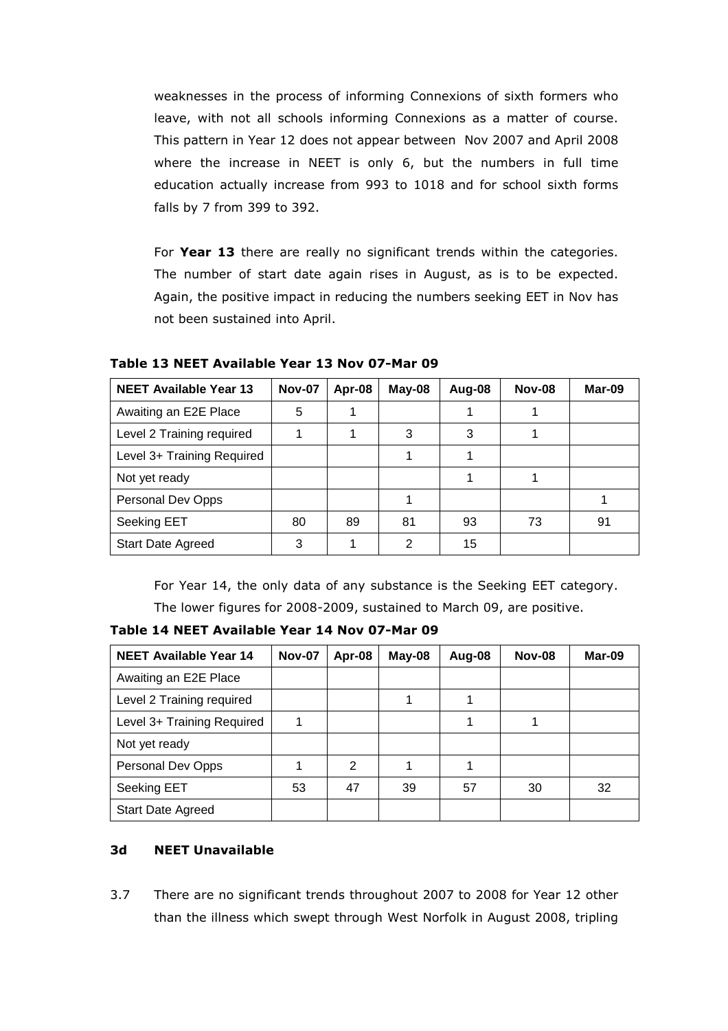weaknesses in the process of informing Connexions of sixth formers who leave, with not all schools informing Connexions as a matter of course. This pattern in Year 12 does not appear between Nov 2007 and April 2008 where the increase in NEET is only 6, but the numbers in full time education actually increase from 993 to 1018 and for school sixth forms falls by 7 from 399 to 392.

For Year 13 there are really no significant trends within the categories. The number of start date again rises in August, as is to be expected. Again, the positive impact in reducing the numbers seeking EET in Nov has not been sustained into April.

| <b>NEET Available Year 13</b> | <b>Nov-07</b> | Apr-08 | May-08 | Aug-08 | <b>Nov-08</b> | Mar-09 |
|-------------------------------|---------------|--------|--------|--------|---------------|--------|
| Awaiting an E2E Place         | 5             |        |        |        |               |        |
| Level 2 Training required     |               |        | 3      | 3      |               |        |
| Level 3+ Training Required    |               |        |        |        |               |        |
| Not yet ready                 |               |        |        |        |               |        |
| Personal Dev Opps             |               |        |        |        |               |        |
| Seeking EET                   | 80            | 89     | 81     | 93     | 73            | 91     |
| <b>Start Date Agreed</b>      | 3             |        | 2      | 15     |               |        |

Table 13 NEET Available Year 13 Nov 07-Mar 09

For Year 14, the only data of any substance is the Seeking EET category.

The lower figures for 2008-2009, sustained to March 09, are positive.

Table 14 NEET Available Year 14 Nov 07-Mar 09

| <b>NEET Available Year 14</b> | <b>Nov-07</b> | Apr-08 | May-08 | Aug-08 | <b>Nov-08</b> | Mar-09 |
|-------------------------------|---------------|--------|--------|--------|---------------|--------|
| Awaiting an E2E Place         |               |        |        |        |               |        |
| Level 2 Training required     |               |        |        |        |               |        |
| Level 3+ Training Required    |               |        |        |        |               |        |
| Not yet ready                 |               |        |        |        |               |        |
| Personal Dev Opps             |               | 2      |        |        |               |        |
| Seeking EET                   | 53            | 47     | 39     | 57     | 30            | 32     |
| <b>Start Date Agreed</b>      |               |        |        |        |               |        |

# 3d NEET Unavailable

3.7 There are no significant trends throughout 2007 to 2008 for Year 12 other than the illness which swept through West Norfolk in August 2008, tripling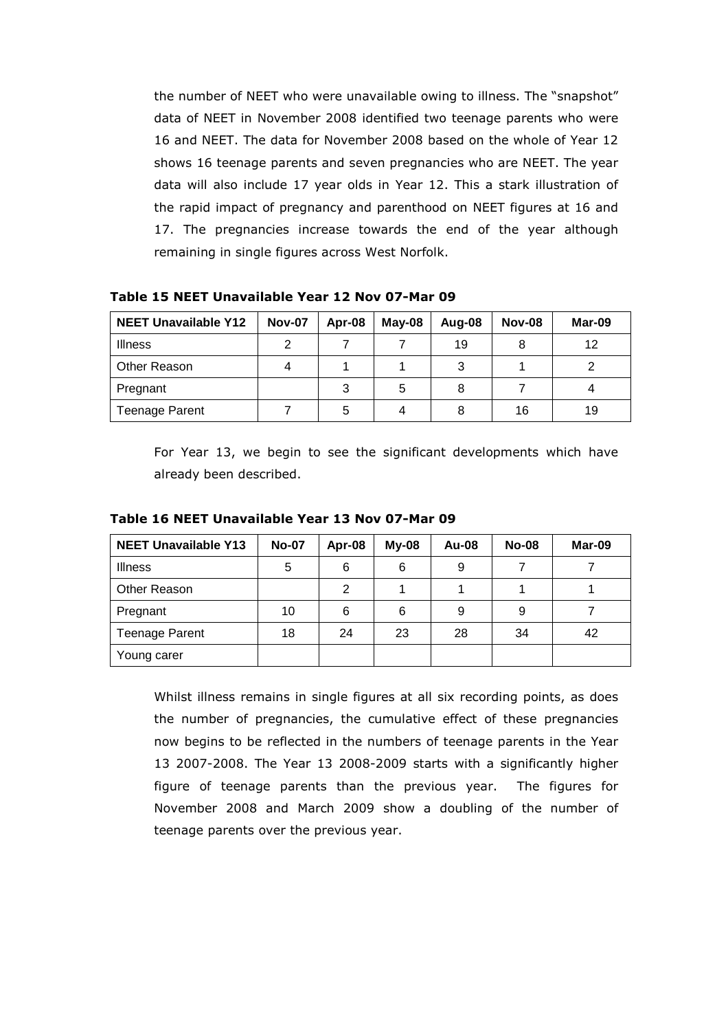the number of NEET who were unavailable owing to illness. The "snapshot" data of NEET in November 2008 identified two teenage parents who were 16 and NEET. The data for November 2008 based on the whole of Year 12 shows 16 teenage parents and seven pregnancies who are NEET. The year data will also include 17 year olds in Year 12. This a stark illustration of the rapid impact of pregnancy and parenthood on NEET figures at 16 and 17. The pregnancies increase towards the end of the year although remaining in single figures across West Norfolk.

| <b>NEET Unavailable Y12</b> | <b>Nov-07</b> | Apr-08 | $May-08$ | Aug-08 | <b>Nov-08</b> | Mar-09 |
|-----------------------------|---------------|--------|----------|--------|---------------|--------|
| <b>Illness</b>              | າ             |        |          | 19     |               | 12     |
| Other Reason                |               |        |          | 3      |               |        |
| Pregnant                    |               |        | 5        | 8      |               |        |
| <b>Teenage Parent</b>       |               | 5      | 4        |        | 16            | 19     |

Table 15 NEET Unavailable Year 12 Nov 07-Mar 09

For Year 13, we begin to see the significant developments which have already been described.

| <b>NEET Unavailable Y13</b> | <b>No-07</b> | Apr-08 | $My-08$ | Au-08 | <b>No-08</b> | Mar-09 |
|-----------------------------|--------------|--------|---------|-------|--------------|--------|
| <b>Illness</b>              | 5            | 6      | 6       | 9     |              |        |
| Other Reason                |              | 2      |         |       |              |        |
| Pregnant                    | 10           | 6      | 6       | 9     | 9            |        |
| <b>Teenage Parent</b>       | 18           | 24     | 23      | 28    | 34           | 42     |
| Young carer                 |              |        |         |       |              |        |

Table 16 NEET Unavailable Year 13 Nov 07-Mar 09

Whilst illness remains in single figures at all six recording points, as does the number of pregnancies, the cumulative effect of these pregnancies now begins to be reflected in the numbers of teenage parents in the Year 13 2007-2008. The Year 13 2008-2009 starts with a significantly higher figure of teenage parents than the previous year. The figures for November 2008 and March 2009 show a doubling of the number of teenage parents over the previous year.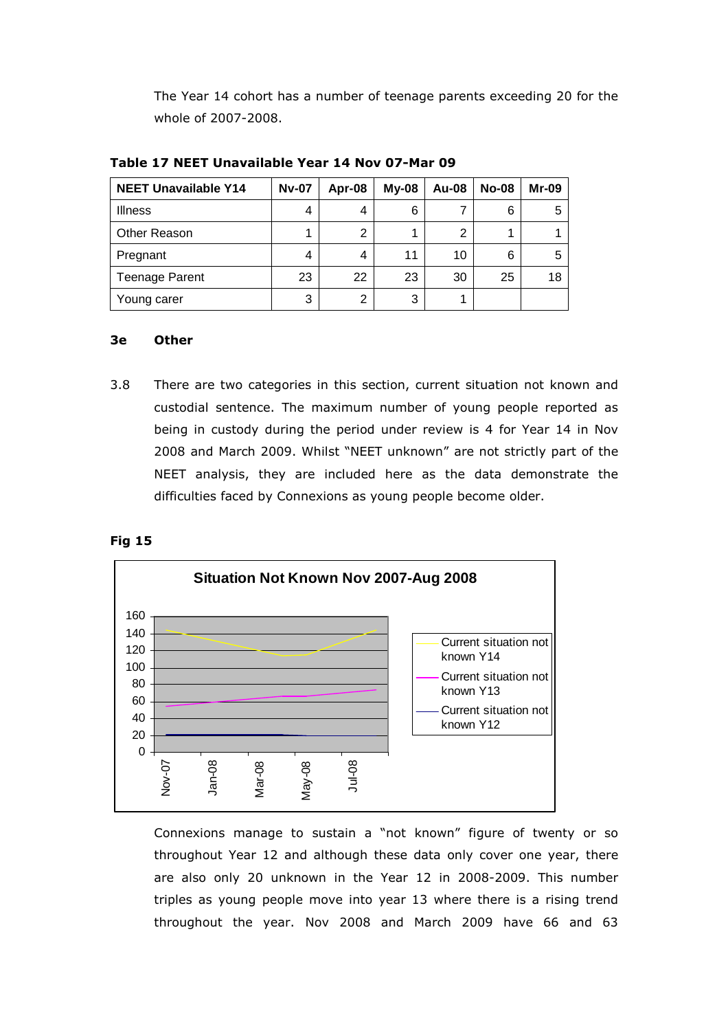The Year 14 cohort has a number of teenage parents exceeding 20 for the whole of 2007-2008.

| <b>NEET Unavailable Y14</b> | <b>Nv-07</b> | Apr-08 | $My-08$ | Au-08 | <b>No-08</b> | <b>Mr-09</b> |
|-----------------------------|--------------|--------|---------|-------|--------------|--------------|
| <b>Illness</b>              | 4            |        | 6       |       | 6            | 5            |
| <b>Other Reason</b>         |              | ⌒      |         | ົ     |              |              |
| Pregnant                    | 4            |        | 11      | 10    | 6            | 5            |
| <b>Teenage Parent</b>       | 23           | 22     | 23      | 30    | 25           | 18           |
| Young carer                 | 3            | ົ      | 3       |       |              |              |

Table 17 NEET Unavailable Year 14 Nov 07-Mar 09

#### 3e Other

3.8 There are two categories in this section, current situation not known and custodial sentence. The maximum number of young people reported as being in custody during the period under review is 4 for Year 14 in Nov 2008 and March 2009. Whilst "NEET unknown" are not strictly part of the NEET analysis, they are included here as the data demonstrate the difficulties faced by Connexions as young people become older.





Connexions manage to sustain a "not known" figure of twenty or so throughout Year 12 and although these data only cover one year, there are also only 20 unknown in the Year 12 in 2008-2009. This number triples as young people move into year 13 where there is a rising trend throughout the year. Nov 2008 and March 2009 have 66 and 63